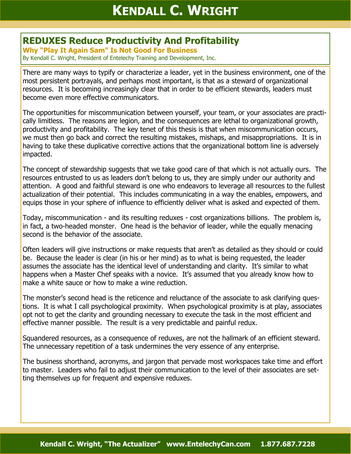## **REDUXES Reduce Productivity And Profitability**

**Why "Play It Again Sam" Is Not Good For Business** By Kendall C. Wright, President of Entelechy Training and Development, Inc.

There are many ways to typify or characterize a leader, yet in the business environment, one of the most persistent portrayals, and perhaps most important, is that as a steward of organizational resources. It is becoming increasingly clear that in order to be efficient stewards, leaders must become even more effective communicators.

The opportunities for miscommunication between yourself, your team, or your associates are practically limitless. The reasons are legion, and the consequences are lethal to organizational growth, productivity and profitability. The key tenet of this thesis is that when miscommunication occurs, we must then go back and correct the resulting mistakes, mishaps, and misappropriations. It is in having to take these duplicative corrective actions that the organizational bottom line is adversely impacted.

The concept of stewardship suggests that we take good care of that which is not actually ours. The resources entrusted to us as leaders don't belong to us, they are simply under our authority and attention. A good and faithful steward is one who endeavors to leverage all resources to the fullest actualization of their potential. This includes communicating in a way the enables, empowers, and equips those in your sphere of influence to efficiently deliver what is asked and expected of them.

Today, miscommunication - and its resulting reduxes - cost organizations billions. The problem is, in fact, a two-headed monster. One head is the behavior of leader, while the equally menacing second is the behavior of the associate.

Often leaders will give instructions or make requests that aren't as detailed as they should or could be. Because the leader is clear (in his or her mind) as to what is being requested, the leader assumes the associate has the identical level of understanding and clarity. It's similar to what happens when a Master Chef speaks with a novice. It's assumed that you already know how to make a white sauce or how to make a wine reduction.

The monster's second head is the reticence and reluctance of the associate to ask clarifying questions. It is what I call psychological proximity. When psychological proximity is at play, associates opt not to get the clarity and grounding necessary to execute the task in the most efficient and effective manner possible. The result is a very predictable and painful redux.

Squandered resources, as a consequence of reduxes, are not the hallmark of an efficient steward. The unnecessary repetition of a task undermines the very essence of any enterprise.

The business shorthand, acronyms, and jargon that pervade most workspaces take time and effort to master. Leaders who fail to adjust their communication to the level of their associates are setting themselves up for frequent and expensive reduxes.